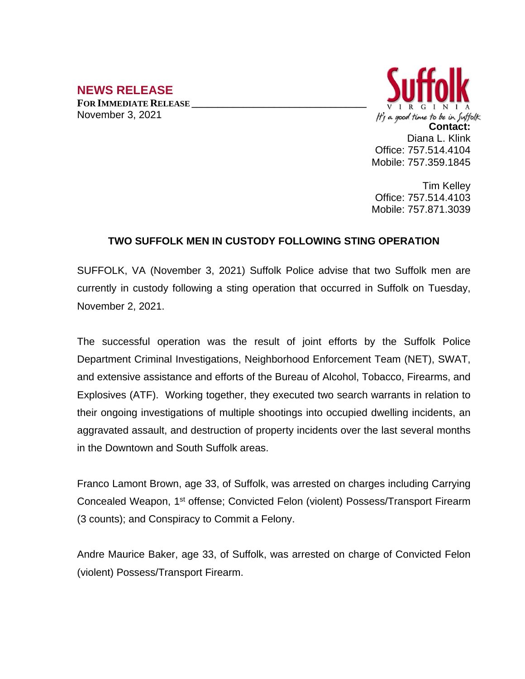## **NEWS RELEASE**

**FOR IMMEDIATE RELEASE \_\_\_\_\_\_\_\_\_\_\_\_\_\_\_\_\_\_\_\_\_\_\_\_\_\_\_\_\_\_\_\_\_\_** November 3, 2021



Tim Kelley Office: 757.514.4103 Mobile: 757.871.3039

## **TWO SUFFOLK MEN IN CUSTODY FOLLOWING STING OPERATION**

SUFFOLK, VA (November 3, 2021) Suffolk Police advise that two Suffolk men are currently in custody following a sting operation that occurred in Suffolk on Tuesday, November 2, 2021.

The successful operation was the result of joint efforts by the Suffolk Police Department Criminal Investigations, Neighborhood Enforcement Team (NET), SWAT, and extensive assistance and efforts of the Bureau of Alcohol, Tobacco, Firearms, and Explosives (ATF). Working together, they executed two search warrants in relation to their ongoing investigations of multiple shootings into occupied dwelling incidents, an aggravated assault, and destruction of property incidents over the last several months in the Downtown and South Suffolk areas.

Franco Lamont Brown, age 33, of Suffolk, was arrested on charges including Carrying Concealed Weapon, 1<sup>st</sup> offense; Convicted Felon (violent) Possess/Transport Firearm (3 counts); and Conspiracy to Commit a Felony.

Andre Maurice Baker, age 33, of Suffolk, was arrested on charge of Convicted Felon (violent) Possess/Transport Firearm.